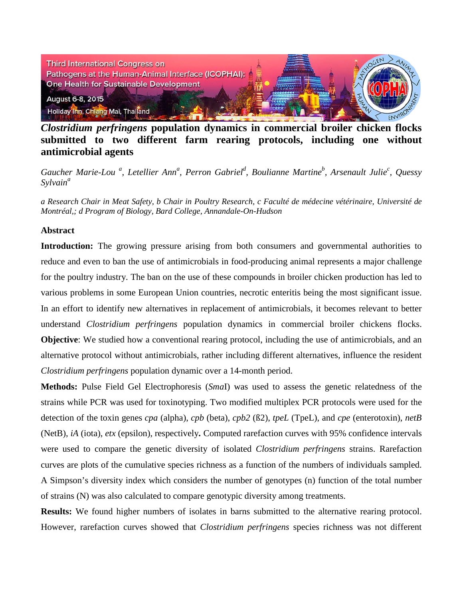

*Clostridium perfringens* **population dynamics in commercial broiler chicken flocks submitted to two different farm rearing protocols, including one without antimicrobial agents**

*Gaucher Marie-Lou <sup>a</sup> , Letellier Ann<sup>a</sup> , Perron Gabriel<sup>d</sup> , Boulianne Martineb , Arsenault Juliec , Quessy Sylvain<sup>a</sup>*

*a Research Chair in Meat Safety, b Chair in Poultry Research, c Faculté de médecine vétérinaire, Université de Montréal,; d Program of Biology, Bard College, Annandale-On-Hudson*

## **Abstract**

**Introduction:** The growing pressure arising from both consumers and governmental authorities to reduce and even to ban the use of antimicrobials in food-producing animal represents a major challenge for the poultry industry. The ban on the use of these compounds in broiler chicken production has led to various problems in some European Union countries, necrotic enteritis being the most significant issue. In an effort to identify new alternatives in replacement of antimicrobials, it becomes relevant to better understand *Clostridium perfringens* population dynamics in commercial broiler chickens flocks. **Objective**: We studied how a conventional rearing protocol, including the use of antimicrobials, and an alternative protocol without antimicrobials, rather including different alternatives, influence the resident *Clostridium perfringens* population dynamic over a 14-month period.

**Methods:** Pulse Field Gel Electrophoresis (*Sma*I) was used to assess the genetic relatedness of the strains while PCR was used for toxinotyping. Two modified multiplex PCR protocols were used for the detection of the toxin genes *cpa* (alpha), *cpb* (beta), *cpb2* (ß2), *tpeL* (TpeL), and *cpe* (enterotoxin), *netB*  (NetB), *iA* (iota), *etx* (epsilon), respectively**.** Computed rarefaction curves with 95% confidence intervals were used to compare the genetic diversity of isolated *Clostridium perfringens* strains. Rarefaction curves are plots of the cumulative species richness as a function of the numbers of individuals sampled. A Simpson's diversity index which considers the number of genotypes (n) function of the total number of strains (N) was also calculated to compare genotypic diversity among treatments.

**Results:** We found higher numbers of isolates in barns submitted to the alternative rearing protocol. However, rarefaction curves showed that *Clostridium perfringens* species richness was not different